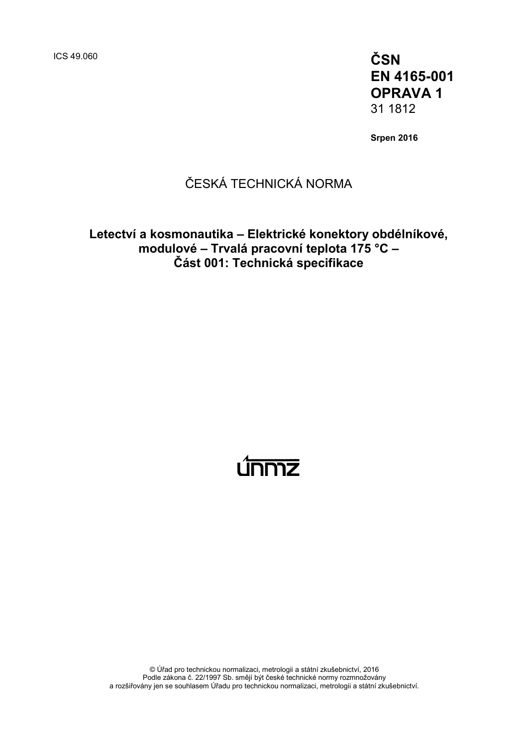ICS 49.060 **ČSN EN 4165-001 OPRAVA 1** 31 1812

**Srpen 2016**

### ČESKÁ TECHNICKÁ NORMA

### **Letectví a kosmonautika – Elektrické konektory obdélníkové, modulové – Trvalá pracovní teplota 175 °C – Část 001: Technická specifikace**

# <u>únmz</u>

© Úřad pro technickou normalizaci, metrologii a státní zkušebnictví, 2016 Podle zákona č. 22/1997 Sb. smějí být české technické normy rozmnožovány a rozšiřovány jen se souhlasem Úřadu pro technickou normalizaci, metrologii a státní zkušebnictví.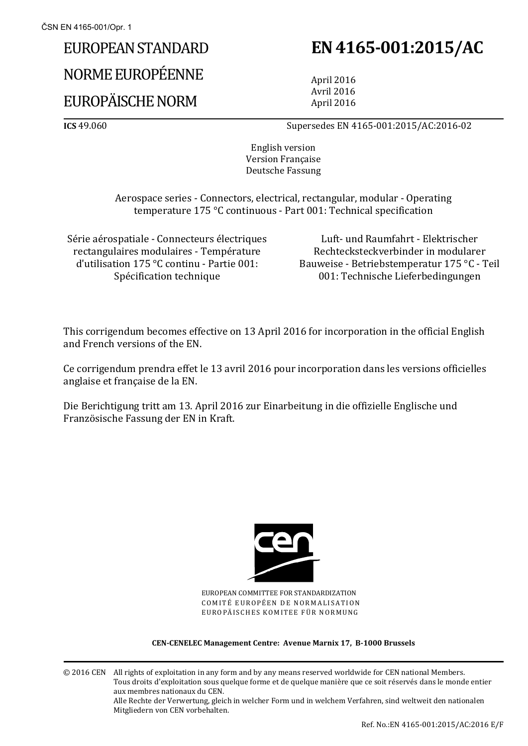# EUROPEAN STANDARD

# NORME EUROPÉENNE

## EUROPÄISCHE NORM

# **EN 4165-001:2015/AC**

April 2016 Avril 2016 April 2016

**ICS** 49.060 Supersedes EN 4165-001:2015/AC:2016-02

English version Version Française Deutsche Fassung

Aerospace series - Connectors, electrical, rectangular, modular - Operating temperature 175 °C continuous - Part 001: Technical specification

Série aérospatiale - Connecteurs électriques rectangulaires modulaires - Température d'utilisation 175 °C continu - Partie 001: Spécification technique

Luft- und Raumfahrt - Elektrischer Rechtecksteckverbinder in modularer Bauweise - Betriebstemperatur 175 °C - Teil 001: Technische Lieferbedingungen

This corrigendum becomes effective on 13 April 2016 for incorporation in the official English and French versions of the EN.

Ce corrigendum prendra effet le 13 avril 2016 pour incorporation dans les versions officielles anglaise et française de la EN.

Die Berichtigung tritt am 13. April 2016 zur Einarbeitung in die offizielle Englische und Französische Fassung der EN in Kraft.



EUROPEAN COMMITTEE FOR STANDARDIZATION COMITÉ EUROPÉEN DE NORMALISATION EUROPÄISCHES KOMITEE FÜR NORMUNG

#### **CEN-CENELEC Management Centre: Avenue Marnix 17, B-1000 Brussels**

© 2016 CEN All rights of exploitation in any form and by any means reserved worldwide for CEN national Members. Tous droits d'exploitation sous quelque forme et de quelque manière que ce soit réservés dans le monde entier aux membres nationaux du CEN. Alle Rechte der Verwertung, gleich in welcher Form und in welchem Verfahren, sind weltweit den nationalen Mitgliedern von CEN vorbehalten.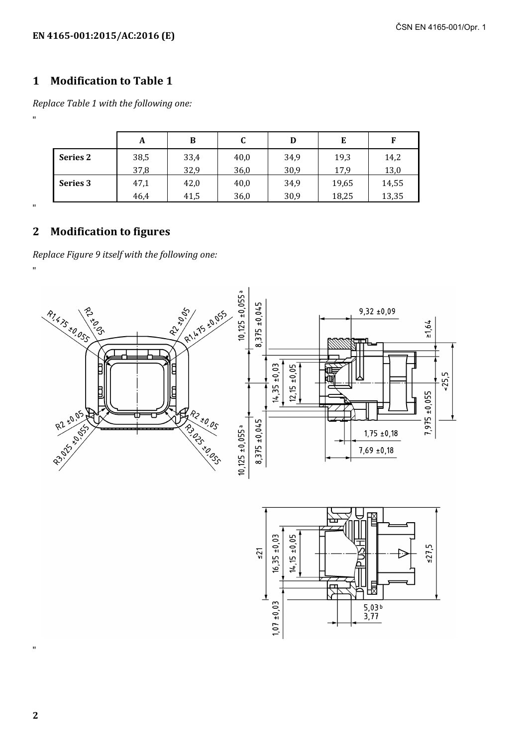### **1 Modification to Table 1**

*Replace Table 1 with the following one:* "

|                 | A    | B    | u    | D    | E     | F     |
|-----------------|------|------|------|------|-------|-------|
| <b>Series 2</b> | 38,5 | 33,4 | 40,0 | 34,9 | 19,3  | 14,2  |
|                 | 37,8 | 32,9 | 36,0 | 30,9 | 17.9  | 13,0  |
| Series 3        | 47,1 | 42,0 | 40,0 | 34,9 | 19,65 | 14,55 |
|                 | 46,4 | 41,5 | 36,0 | 30,9 | 18,25 | 13,35 |

"

"

### **2 Modification to figures**

*Replace Figure 9 itself with the following one:*





**2** 

"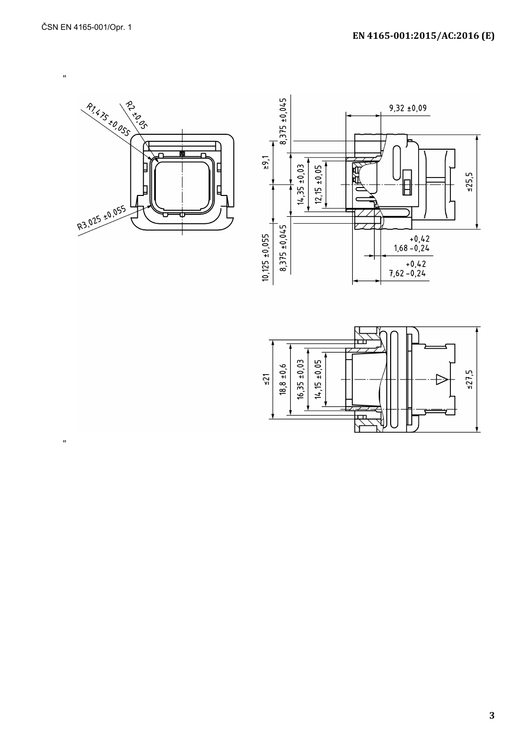$\mathbf{u}$ 

 $\mathbf{u}$ 





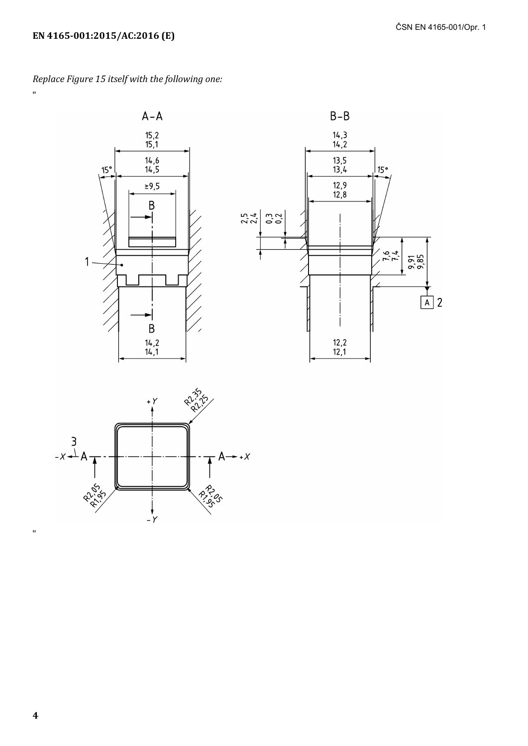$\mathbf{u}$ 

Replace Figure 15 itself with the following one:







 $\mathbf{u}$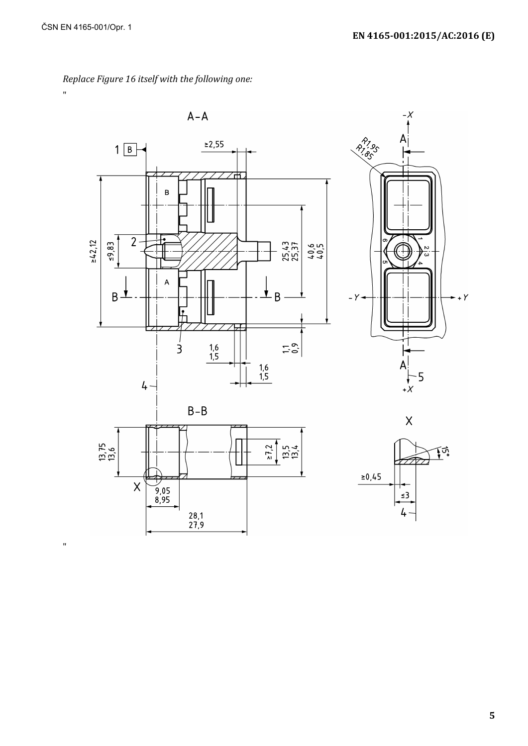

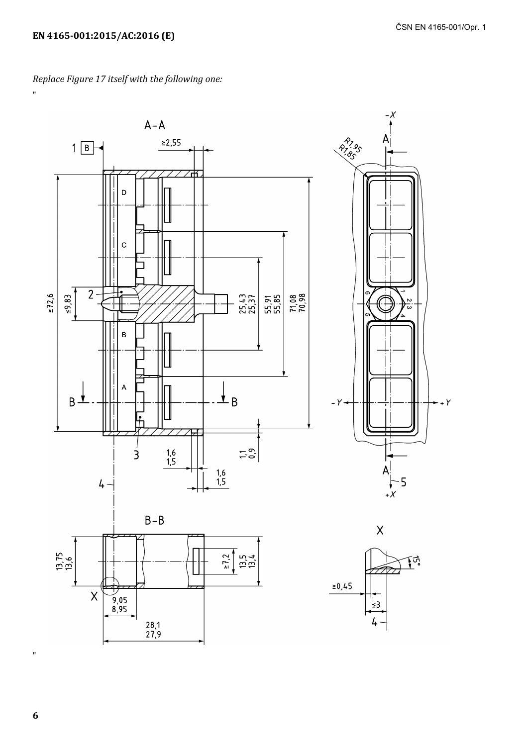Replace Figure 17 itself with the following one:



 $\boldsymbol{6}$ 

 $\bar{u}$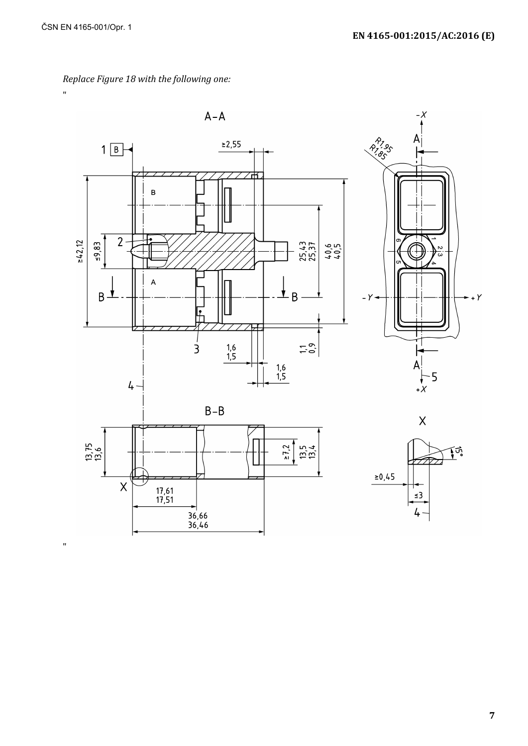Replace Figure 18 with the following one:

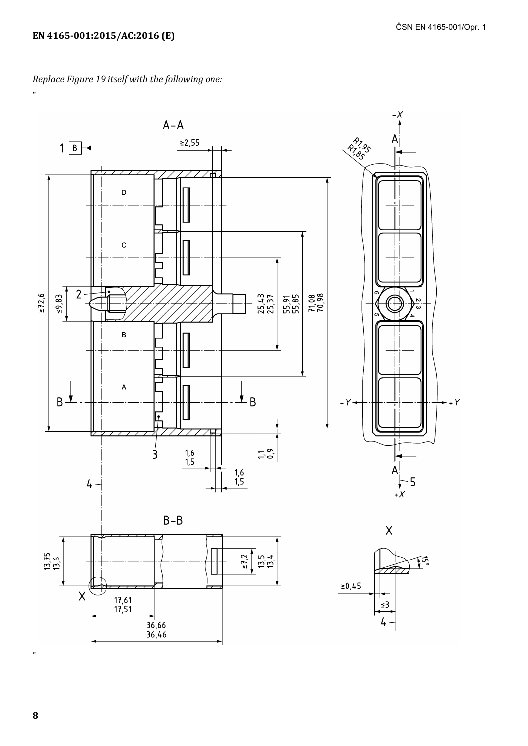Replace Figure 19 itself with the following one:

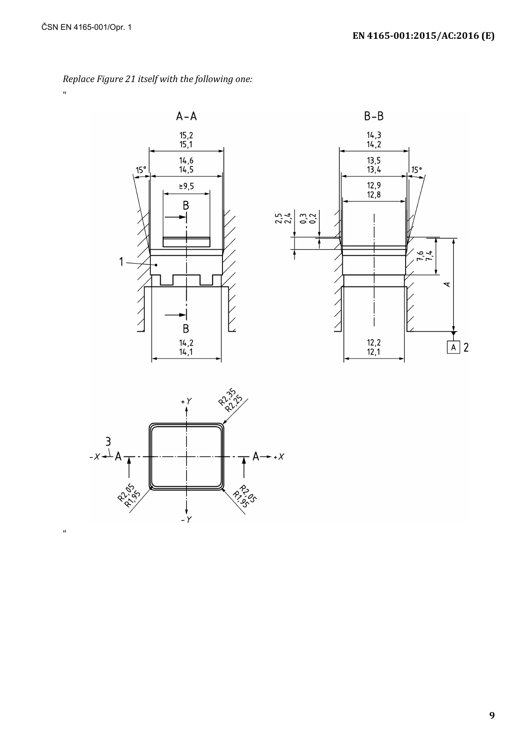$\bar{\mathbf{u}}$ 

 $\mathbf{u}$ 



Replace Figure 21 itself with the following one:



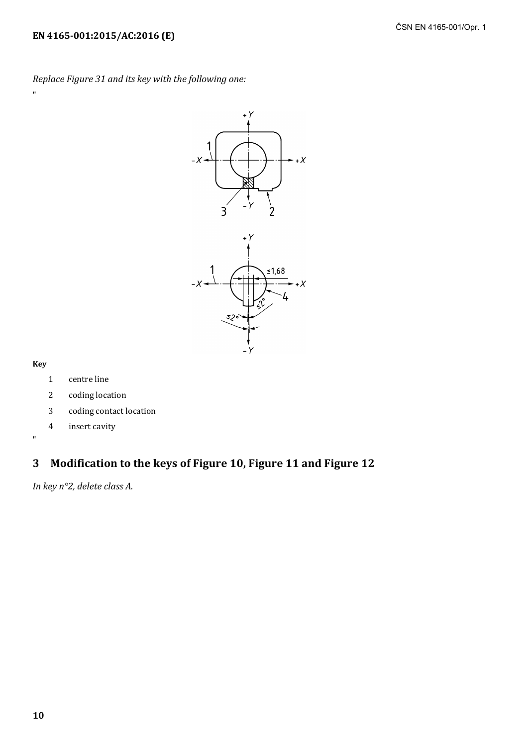*Replace Figure 31 and its key with the following one:*



#### **Key**

"

"

- 1 centre line
- 2 coding location
- 3 coding contact location
- 4 insert cavity

### **3 Modification to the keys of Figure 10, Figure 11 and Figure 12**

*In key n°2, delete class A.*